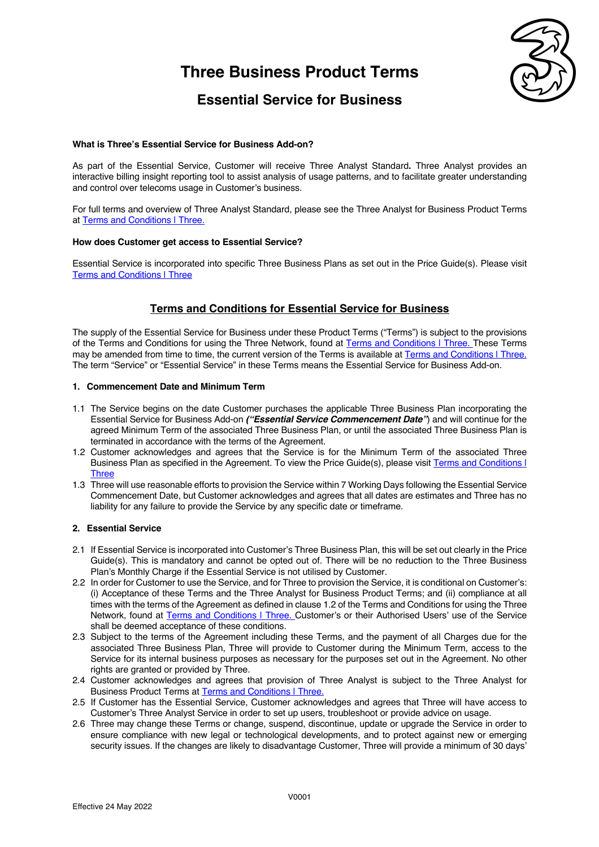# **Three Business Product Terms**



### **Essential Service for Business**

#### **What is Three's Essential Service for Business Add-on?**

As part of the Essential Service, Customer will receive Three Analyst Standard**.** Three Analyst provides an interactive billing insight reporting tool to assist analysis of usage patterns, and to facilitate greater understanding and control over telecoms usage in Customer's business.

For full terms and overview of Three Analyst Standard, please see the Three Analyst for Business Product Terms at Terms and Conditions | Three.

#### **How does Customer get access to Essential Service?**

Essential Service is incorporated into specific Three Business Plans as set out in the Price Guide(s). Please visit Terms and Conditions | Three

### **Terms and Conditions for Essential Service for Business**

The supply of the Essential Service for Business under these Product Terms ("Terms") is subject to the provisions of the Terms and Conditions for using the Three Network, found at Terms and Conditions I Three. These Terms may be amended from time to time, the current version of the Terms is available at Terms and Conditions | Three. The term "Service" or "Essential Service" in these Terms means the Essential Service for Business Add-on.

#### **1. Commencement Date and Minimum Term**

- 1.1 The Service begins on the date Customer purchases the applicable Three Business Plan incorporating the Essential Service for Business Add-on *("Essential Service Commencement Date"*) and will continue for the agreed Minimum Term of the associated Three Business Plan, or until the associated Three Business Plan is terminated in accordance with the terms of the Agreement.
- 1.2 Customer acknowledges and agrees that the Service is for the Minimum Term of the associated Three Business Plan as specified in the Agreement. To view the Price Guide(s), please visit Terms and Conditions I Three
- 1.3 Three will use reasonable efforts to provision the Service within 7 Working Days following the Essential Service Commencement Date, but Customer acknowledges and agrees that all dates are estimates and Three has no liability for any failure to provide the Service by any specific date or timeframe.

#### **2. Essential Service**

- 2.1 If Essential Service is incorporated into Customer's Three Business Plan, this will be set out clearly in the Price Guide(s). This is mandatory and cannot be opted out of. There will be no reduction to the Three Business Plan's Monthly Charge if the Essential Service is not utilised by Customer.
- 2.2 In order for Customer to use the Service, and for Three to provision the Service, it is conditional on Customer's: (i) Acceptance of these Terms and the Three Analyst for Business Product Terms; and (ii) compliance at all times with the terms of the Agreement as defined in clause 1.2 of the Terms and Conditions for using the Three Network, found at Terms and Conditions | Three. Customer's or their Authorised Users' use of the Service shall be deemed acceptance of these conditions.
- 2.3 Subject to the terms of the Agreement including these Terms, and the payment of all Charges due for the associated Three Business Plan, Three will provide to Customer during the Minimum Term, access to the Service for its internal business purposes as necessary for the purposes set out in the Agreement. No other rights are granted or provided by Three.
- 2.4 Customer acknowledges and agrees that provision of Three Analyst is subject to the Three Analyst for Business Product Terms at **Terms and Conditions | Three.**
- 2.5 If Customer has the Essential Service, Customer acknowledges and agrees that Three will have access to Customer's Three Analyst Service in order to set up users, troubleshoot or provide advice on usage.
- 2.6 Three may change these Terms or change, suspend, discontinue, update or upgrade the Service in order to ensure compliance with new legal or technological developments, and to protect against new or emerging security issues. If the changes are likely to disadvantage Customer, Three will provide a minimum of 30 days'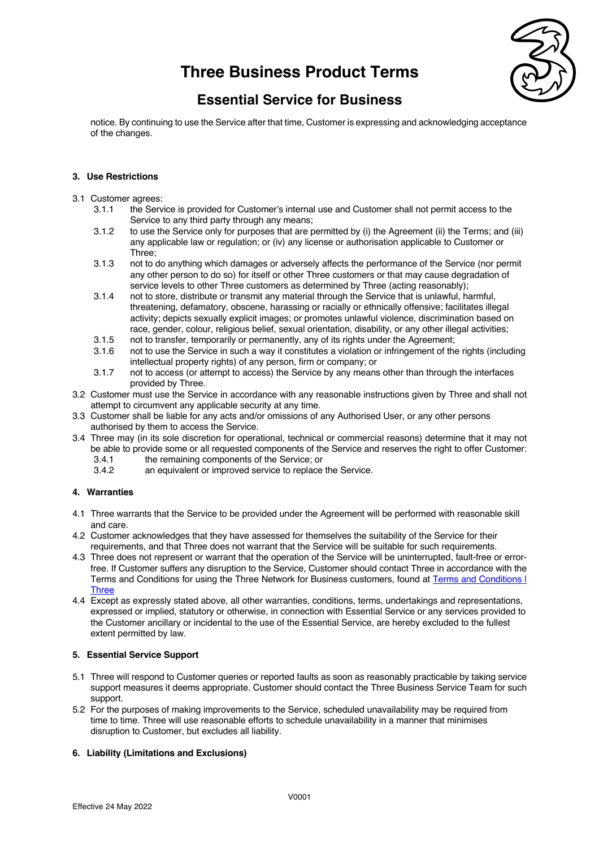## **Three Business Product Terms**



### **Essential Service for Business**

notice. By continuing to use the Service after that time, Customer is expressing and acknowledging acceptance of the changes.

#### **3. Use Restrictions**

- 3.1 Customer agrees:
	- 3.1.1 the Service is provided for Customer's internal use and Customer shall not permit access to the Service to any third party through any means;
	- 3.1.2 to use the Service only for purposes that are permitted by (i) the Agreement (ii) the Terms; and (iii) any applicable law or regulation; or (iv) any license or authorisation applicable to Customer or Three;
	- 3.1.3 not to do anything which damages or adversely affects the performance of the Service (nor permit any other person to do so) for itself or other Three customers or that may cause degradation of service levels to other Three customers as determined by Three (acting reasonably);
	- 3.1.4 not to store, distribute or transmit any material through the Service that is unlawful, harmful, threatening, defamatory, obscene, harassing or racially or ethnically offensive; facilitates illegal activity; depicts sexually explicit images; or promotes unlawful violence, discrimination based on race, gender, colour, religious belief, sexual orientation, disability, or any other illegal activities;
	- 3.1.5 not to transfer, temporarily or permanently, any of its rights under the Agreement;<br>3.1.6 not to use the Service in such a way it constitutes a violation or infringement of the
	- not to use the Service in such a way it constitutes a violation or infringement of the rights (including intellectual property rights) of any person, firm or company; or
	- 3.1.7 not to access (or attempt to access) the Service by any means other than through the interfaces provided by Three.
- 3.2 Customer must use the Service in accordance with any reasonable instructions given by Three and shall not attempt to circumvent any applicable security at any time.
- 3.3 Customer shall be liable for any acts and/or omissions of any Authorised User, or any other persons authorised by them to access the Service.
- 3.4 Three may (in its sole discretion for operational, technical or commercial reasons) determine that it may not be able to provide some or all requested components of the Service and reserves the right to offer Customer:
	- 3.4.1 the remaining components of the Service; or<br>3.4.2 an equivalent or improved service to replace
	- an equivalent or improved service to replace the Service.

#### **4. Warranties**

- 4.1 Three warrants that the Service to be provided under the Agreement will be performed with reasonable skill and care.
- 4.2 Customer acknowledges that they have assessed for themselves the suitability of the Service for their requirements, and that Three does not warrant that the Service will be suitable for such requirements.
- 4.3 Three does not represent or warrant that the operation of the Service will be uninterrupted, fault-free or errorfree. If Customer suffers any disruption to the Service, Customer should contact Three in accordance with the Terms and Conditions for using the Three Network for Business customers, found at Terms and Conditions | **Three**
- 4.4 Except as expressly stated above, all other warranties, conditions, terms, undertakings and representations, expressed or implied, statutory or otherwise, in connection with Essential Service or any services provided to the Customer ancillary or incidental to the use of the Essential Service, are hereby excluded to the fullest extent permitted by law.

#### **5. Essential Service Support**

- 5.1 Three will respond to Customer queries or reported faults as soon as reasonably practicable by taking service support measures it deems appropriate. Customer should contact the Three Business Service Team for such support.
- 5.2 For the purposes of making improvements to the Service, scheduled unavailability may be required from time to time. Three will use reasonable efforts to schedule unavailability in a manner that minimises disruption to Customer, but excludes all liability.

#### **6. Liability (Limitations and Exclusions)**